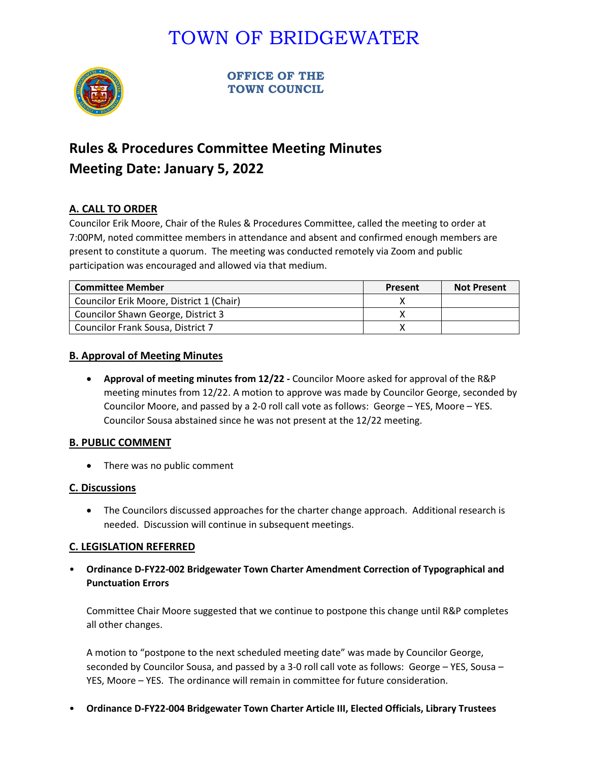# TOWN OF BRIDGEWATER



**OFFICE OF THE TOWN COUNCIL**

# **Rules & Procedures Committee Meeting Minutes Meeting Date: January 5, 2022**

# **A. CALL TO ORDER**

Councilor Erik Moore, Chair of the Rules & Procedures Committee, called the meeting to order at 7:00PM, noted committee members in attendance and absent and confirmed enough members are present to constitute a quorum. The meeting was conducted remotely via Zoom and public participation was encouraged and allowed via that medium.

| <b>Committee Member</b>                  | Present | <b>Not Present</b> |
|------------------------------------------|---------|--------------------|
| Councilor Erik Moore, District 1 (Chair) |         |                    |
| Councilor Shawn George, District 3       |         |                    |
| Councilor Frank Sousa, District 7        |         |                    |

### **B. Approval of Meeting Minutes**

• **Approval of meeting minutes from 12/22 -** Councilor Moore asked for approval of the R&P meeting minutes from 12/22. A motion to approve was made by Councilor George, seconded by Councilor Moore, and passed by a 2-0 roll call vote as follows: George – YES, Moore – YES. Councilor Sousa abstained since he was not present at the 12/22 meeting.

#### **B. PUBLIC COMMENT**

• There was no public comment

### **C. Discussions**

• The Councilors discussed approaches for the charter change approach. Additional research is needed. Discussion will continue in subsequent meetings.

### **C. LEGISLATION REFERRED**

• **Ordinance D-FY22-002 Bridgewater Town Charter Amendment Correction of Typographical and Punctuation Errors**

Committee Chair Moore suggested that we continue to postpone this change until R&P completes all other changes.

A motion to "postpone to the next scheduled meeting date" was made by Councilor George, seconded by Councilor Sousa, and passed by a 3-0 roll call vote as follows: George – YES, Sousa – YES, Moore – YES. The ordinance will remain in committee for future consideration.

• **Ordinance D-FY22-004 Bridgewater Town Charter Article III, Elected Officials, Library Trustees**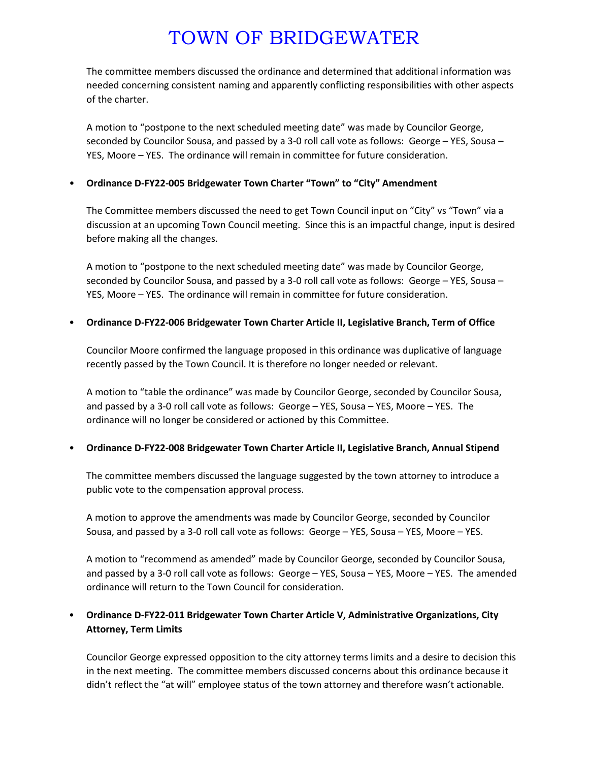# TOWN OF BRIDGEWATER

The committee members discussed the ordinance and determined that additional information was needed concerning consistent naming and apparently conflicting responsibilities with other aspects of the charter.

A motion to "postpone to the next scheduled meeting date" was made by Councilor George, seconded by Councilor Sousa, and passed by a 3-0 roll call vote as follows: George – YES, Sousa – YES, Moore – YES. The ordinance will remain in committee for future consideration.

### • **Ordinance D-FY22-005 Bridgewater Town Charter "Town" to "City" Amendment**

The Committee members discussed the need to get Town Council input on "City" vs "Town" via a discussion at an upcoming Town Council meeting. Since this is an impactful change, input is desired before making all the changes.

A motion to "postpone to the next scheduled meeting date" was made by Councilor George, seconded by Councilor Sousa, and passed by a 3-0 roll call vote as follows: George – YES, Sousa – YES, Moore – YES. The ordinance will remain in committee for future consideration.

#### • **Ordinance D-FY22-006 Bridgewater Town Charter Article II, Legislative Branch, Term of Office**

Councilor Moore confirmed the language proposed in this ordinance was duplicative of language recently passed by the Town Council. It is therefore no longer needed or relevant.

A motion to "table the ordinance" was made by Councilor George, seconded by Councilor Sousa, and passed by a 3-0 roll call vote as follows: George – YES, Sousa – YES, Moore – YES. The ordinance will no longer be considered or actioned by this Committee.

#### • **Ordinance D-FY22-008 Bridgewater Town Charter Article II, Legislative Branch, Annual Stipend**

The committee members discussed the language suggested by the town attorney to introduce a public vote to the compensation approval process.

A motion to approve the amendments was made by Councilor George, seconded by Councilor Sousa, and passed by a 3-0 roll call vote as follows: George – YES, Sousa – YES, Moore – YES.

A motion to "recommend as amended" made by Councilor George, seconded by Councilor Sousa, and passed by a 3-0 roll call vote as follows: George – YES, Sousa – YES, Moore – YES. The amended ordinance will return to the Town Council for consideration.

### • **Ordinance D-FY22-011 Bridgewater Town Charter Article V, Administrative Organizations, City Attorney, Term Limits**

Councilor George expressed opposition to the city attorney terms limits and a desire to decision this in the next meeting. The committee members discussed concerns about this ordinance because it didn't reflect the "at will" employee status of the town attorney and therefore wasn't actionable.